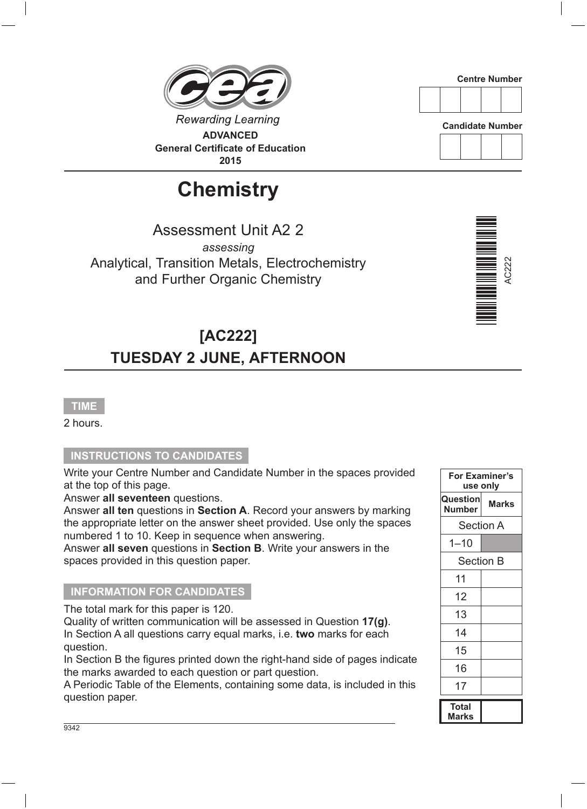**Rewarding Learning ADVANCED General Certificate of Education 2015**

# **Chemistry**

Assessment Unit A2 2 *assessing* Analytical, Transition Metals, Electrochemistry and Further Organic Chemistry

# **[AC222] TUESDAY 2 JUNE, AFTERNOON**

### **TIME**

2 hours.

#### **INSTRUCTIONS TO CANDIDATES**

Write your Centre Number and Candidate Number in the spaces provided at the top of this page.

Answer **all seventeen** questions.

Answer **all ten** questions in **Section A**. Record your answers by marking the appropriate letter on the answer sheet provided. Use only the spaces numbered 1 to 10. Keep in sequence when answering.

Answer **all seven** questions in **Section B**. Write your answers in the spaces provided in this question paper.

#### **INFORMATION FOR CANDIDATES**

The total mark for this paper is 120.

Quality of written communication will be assessed in Question **17(g)**. In Section A all questions carry equal marks, i.e. **two** marks for each question.

In Section B the figures printed down the right-hand side of pages indicate the marks awarded to each question or part question.

A Periodic Table of the Elements, containing some data, is included in this question paper.

| For Examiner's<br>use only         |                  |  |  |  |
|------------------------------------|------------------|--|--|--|
| Question<br><b>Marks</b><br>Number |                  |  |  |  |
|                                    | <b>Section A</b> |  |  |  |
| $1 - 10$                           |                  |  |  |  |
| <b>Section B</b>                   |                  |  |  |  |
| 11                                 |                  |  |  |  |
| 12                                 |                  |  |  |  |
| 13                                 |                  |  |  |  |
| 14                                 |                  |  |  |  |
| 15                                 |                  |  |  |  |
| 16                                 |                  |  |  |  |
| 17                                 |                  |  |  |  |
| <b>Total</b><br>Marks              |                  |  |  |  |





**Candidate Number**

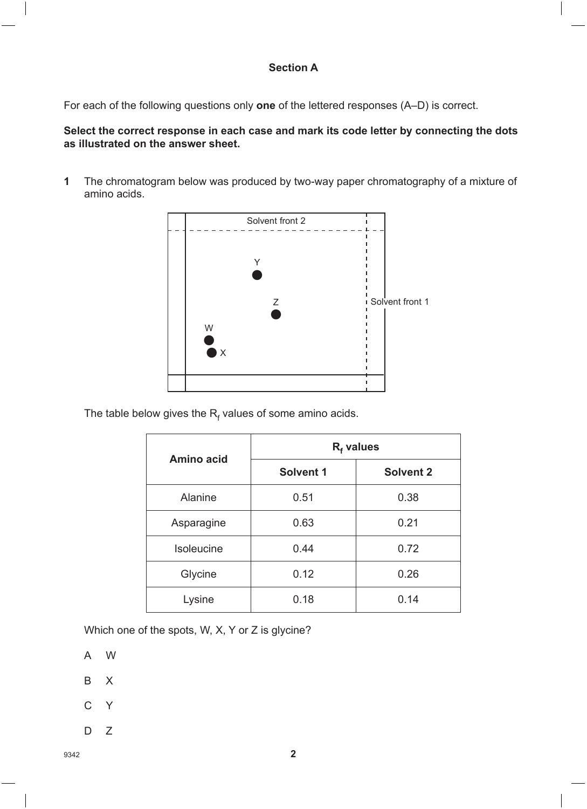#### **Section A**

For each of the following questions only **one** of the lettered responses (A–D) is correct.

#### **Select the correct response in each case and mark its code letter by connecting the dots as illustrated on the answer sheet.**

**1** The chromatogram below was produced by two-way paper chromatography of a mixture of amino acids.



The table below gives the  $\mathsf{R}_{\mathsf{f}}$  values of some amino acids.

| Amino acid     | $Rf$ values      |                  |  |  |
|----------------|------------------|------------------|--|--|
|                | <b>Solvent 1</b> | <b>Solvent 2</b> |  |  |
| <b>Alanine</b> | 0.51             | 0.38             |  |  |
| Asparagine     | 0.63             | 0.21             |  |  |
| Isoleucine     | 0.44             | 0.72             |  |  |
| Glycine        | 0.12             | 0.26             |  |  |
| Lysine         | 0.18             | 0.14             |  |  |

Which one of the spots, W, X, Y or Z is glycine?

- A W
- B X
- C Y
- $D \quad Z$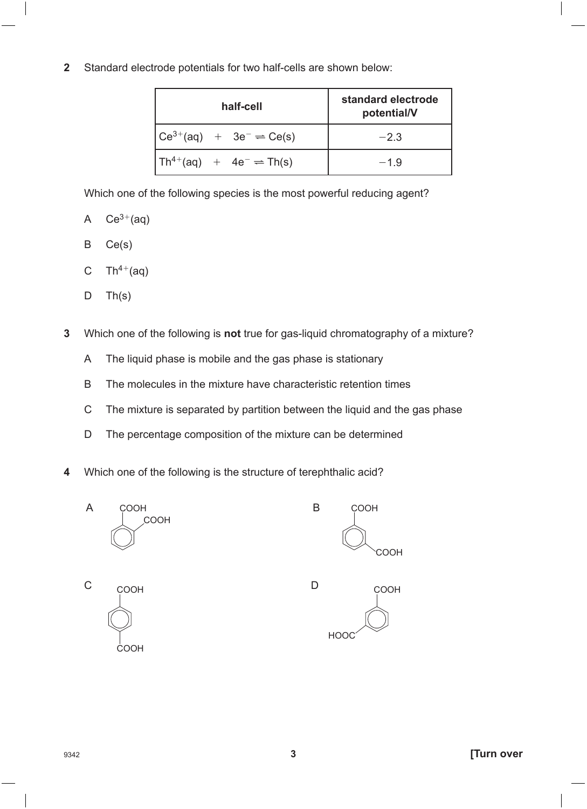#### **2** Standard electrode potentials for two half-cells are shown below:

| half-cell                                                                                                   | standard electrode<br>potential/V |
|-------------------------------------------------------------------------------------------------------------|-----------------------------------|
| $\begin{bmatrix} \text{Ce}^{3+}(\text{aq}) & + & 3\text{e}^- \rightleftharpoons \text{Ce(s)} \end{bmatrix}$ | $-2.3$                            |
| $Th^{4+}(aq) + 4e^- \rightleftharpoons Th(s)$                                                               | $-1.9$                            |

Which one of the following species is the most powerful reducing agent?

- A  $Ce^{3+}(aq)$
- B Ce(s)
- C Th<sup>4+</sup>(aq)
- $D$  Th(s)
- **3** Which one of the following is **not** true for gas-liquid chromatography of a mixture?
	- A The liquid phase is mobile and the gas phase is stationary
	- B The molecules in the mixture have characteristic retention times
	- C The mixture is separated by partition between the liquid and the gas phase
	- D The percentage composition of the mixture can be determined
- **4** Which one of the following is the structure of terephthalic acid?

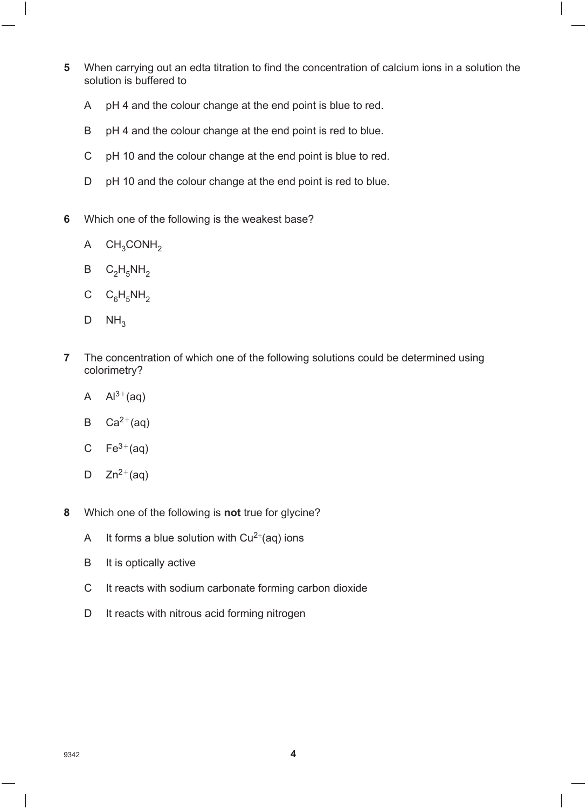- **5** When carrying out an edta titration to find the concentration of calcium ions in a solution the solution is buffered to
	- A pH 4 and the colour change at the end point is blue to red.
	- B pH 4 and the colour change at the end point is red to blue.
	- C pH 10 and the colour change at the end point is blue to red.
	- D pH 10 and the colour change at the end point is red to blue.
- **6** Which one of the following is the weakest base?
	- A  $CH<sub>3</sub>CONH<sub>2</sub>$
	- $B$   $C_2H_5NH_2$
	- C  $C_6H_5NH_2$
	- $D$  NH<sub>3</sub>
- **7** The concentration of which one of the following solutions could be determined using colorimetry?
	- A  $Al^{3+}(aq)$
	- B  $Ca^{2+}(aq)$
	- C  $Fe<sup>3+</sup>(aq)$
	- D  $Zn^{2+}(aq)$
- **8** Which one of the following is **not** true for glycine?
	- A It forms a blue solution with  $Cu^{2+}(aq)$  ions
	- B It is optically active
	- C It reacts with sodium carbonate forming carbon dioxide
	- D It reacts with nitrous acid forming nitrogen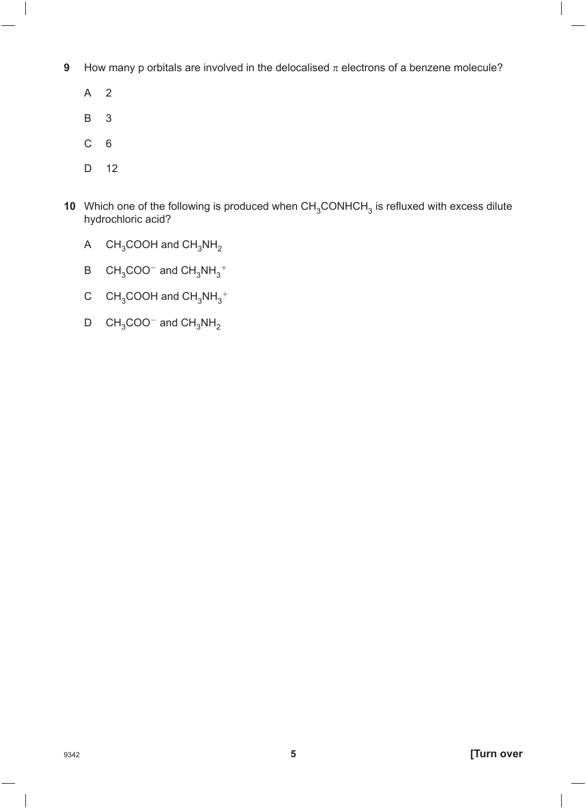- **9** How many p orbitals are involved in the delocalised  $\pi$  electrons of a benzene molecule?
	- A 2
	- B 3
	- C 6
	- D 12
- **10** Which one of the following is produced when  $CH<sub>3</sub>CONHCH<sub>3</sub>$  is refluxed with excess dilute hydrochloric acid?
	- A  $CH_3COOH$  and  $CH_3NH_2$
	- B  $CH_3COO^-$  and  $CH_3NH_3^+$
	- C  $CH_3COOH$  and  $CH_3NH_3^+$
	- $D$  CH<sub>3</sub>COO<sup>-</sup> and CH<sub>3</sub>NH<sub>2</sub>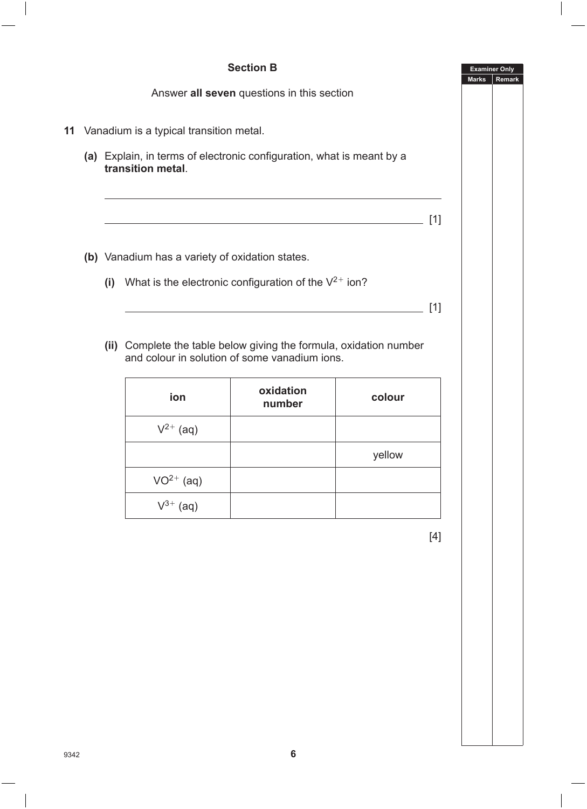

#### **Section B**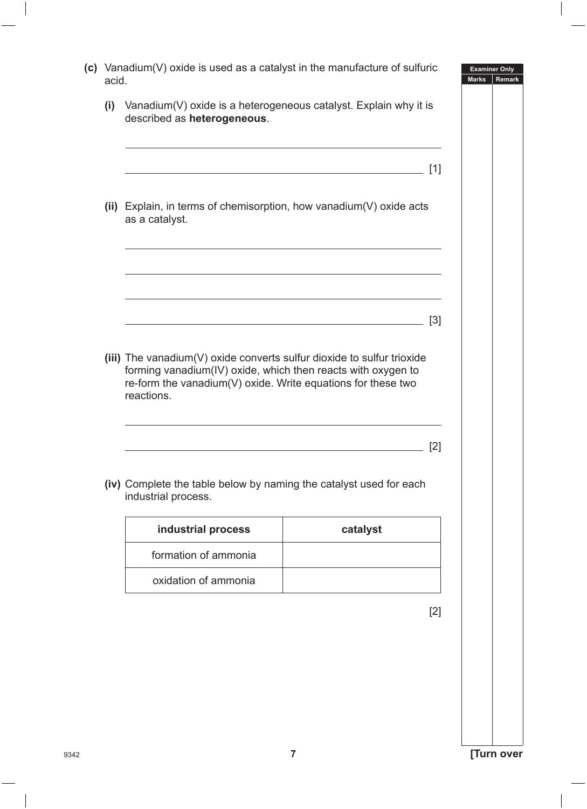| acid. | (c) Vanadium(V) oxide is used as a catalyst in the manufacture of sulfuric                                                                                                                                           |                                                            | <b>Examiner Only</b><br><b>Marks</b><br>Remark |
|-------|----------------------------------------------------------------------------------------------------------------------------------------------------------------------------------------------------------------------|------------------------------------------------------------|------------------------------------------------|
| (i)   | Vanadium(V) oxide is a heterogeneous catalyst. Explain why it is<br>described as heterogeneous.                                                                                                                      |                                                            |                                                |
|       |                                                                                                                                                                                                                      | <u> 1989 - Johann Barn, amerikansk politiker (d. 1989)</u> | $[1]$                                          |
|       | (ii) Explain, in terms of chemisorption, how vanadium(V) oxide acts<br>as a catalyst.                                                                                                                                |                                                            |                                                |
|       |                                                                                                                                                                                                                      | <u> 1989 - Johann Barn, amerikansk politiker (d. 1989)</u> |                                                |
|       |                                                                                                                                                                                                                      | <u> 1989 - Johann Barn, amerikansk politiker (d. 1989)</u> | $[3]$                                          |
|       | (iii) The vanadium(V) oxide converts sulfur dioxide to sulfur trioxide<br>forming vanadium(IV) oxide, which then reacts with oxygen to<br>re-form the vanadium(V) oxide. Write equations for these two<br>reactions. |                                                            | [2]                                            |
|       | (iv) Complete the table below by naming the catalyst used for each<br>industrial process.                                                                                                                            |                                                            |                                                |
|       | industrial process                                                                                                                                                                                                   | catalyst                                                   |                                                |
|       | formation of ammonia                                                                                                                                                                                                 |                                                            |                                                |
|       | oxidation of ammonia                                                                                                                                                                                                 |                                                            |                                                |
|       |                                                                                                                                                                                                                      |                                                            | $[2]$                                          |
|       |                                                                                                                                                                                                                      |                                                            |                                                |
|       |                                                                                                                                                                                                                      |                                                            |                                                |
|       |                                                                                                                                                                                                                      |                                                            |                                                |
|       |                                                                                                                                                                                                                      |                                                            |                                                |
|       |                                                                                                                                                                                                                      |                                                            |                                                |
|       | 7                                                                                                                                                                                                                    |                                                            | [Turn over                                     |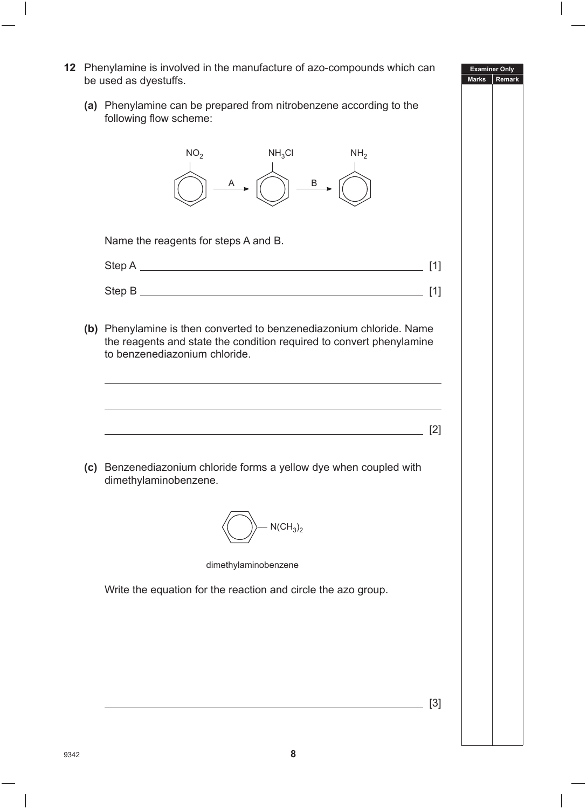**Examiner Only Marks Remark 12** Phenylamine is involved in the manufacture of azo-compounds which can be used as dyestuffs. **(a)** Phenylamine can be prepared from nitrobenzene according to the following flow scheme:  $NO<sub>2</sub>$   $NH<sub>3</sub>Cl$   $NH<sub>2</sub>$ A [*(* \) B Name the reagents for steps A and B. Step A [1] Step B [1] **(b)** Phenylamine is then converted to benzenediazonium chloride. Name the reagents and state the condition required to convert phenylamine to benzenediazonium chloride. [2] **(c)** Benzenediazonium chloride forms a yellow dye when coupled with dimethylaminobenzene.  $N(CH_3)_2$ dimethylaminobenzene Write the equation for the reaction and circle the azo group. [3]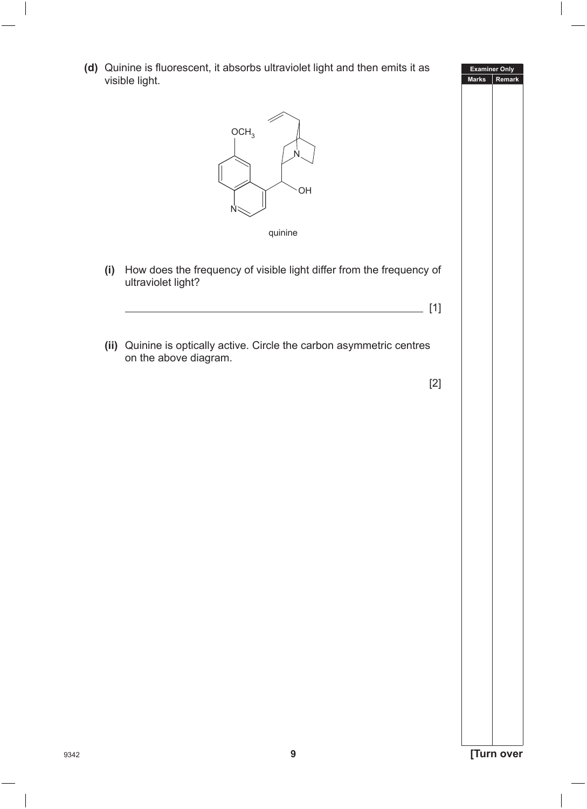**Marks Remark** <sup>9342</sup> **9 [Turn over** visible light.  $OCH<sub>3</sub>$ N OH N quinine **(i)** How does the frequency of visible light differ from the frequency of ultraviolet light? [1] **(ii)** Quinine is optically active. Circle the carbon asymmetric centres on the above diagram. [2]

**(d)** Quinine is fluorescent, it absorbs ultraviolet light and then emits it as

**Examiner Only**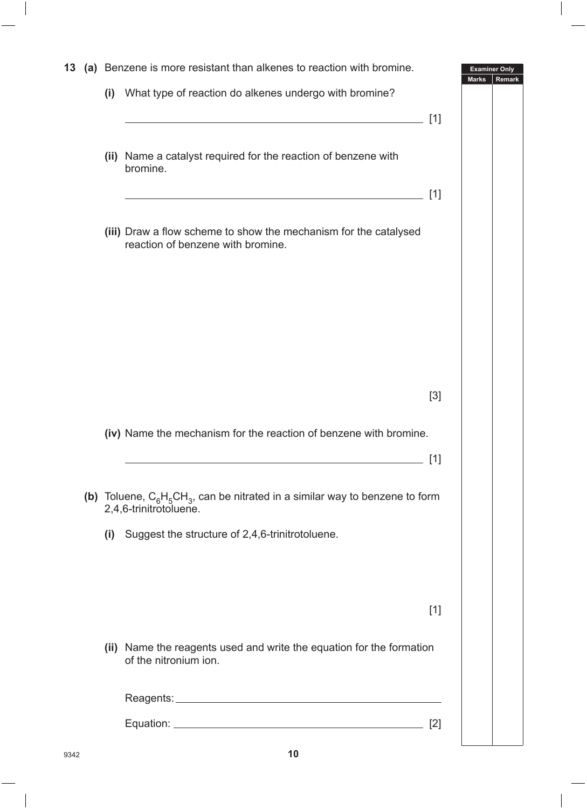| 13 |     | (a) Benzene is more resistant than alkenes to reaction with bromine.                                                  | <b>Examiner Only</b><br><b>Marks</b> | Remark |
|----|-----|-----------------------------------------------------------------------------------------------------------------------|--------------------------------------|--------|
|    | (i) | What type of reaction do alkenes undergo with bromine?                                                                |                                      |        |
|    |     | <u> 1989 - Johann Stoff, deutscher Stoff, der Stoff, der Stoff, der Stoff, der Stoff, der Stoff, der Stoff, der S</u> | $[1]$                                |        |
|    |     |                                                                                                                       |                                      |        |
|    |     | (ii) Name a catalyst required for the reaction of benzene with<br>bromine.                                            |                                      |        |
|    |     |                                                                                                                       | [1]                                  |        |
|    |     |                                                                                                                       |                                      |        |
|    |     | (iii) Draw a flow scheme to show the mechanism for the catalysed<br>reaction of benzene with bromine.                 |                                      |        |
|    |     |                                                                                                                       |                                      |        |
|    |     |                                                                                                                       |                                      |        |
|    |     |                                                                                                                       |                                      |        |
|    |     |                                                                                                                       |                                      |        |
|    |     |                                                                                                                       |                                      |        |
|    |     |                                                                                                                       | $[3]$                                |        |
|    |     |                                                                                                                       |                                      |        |
|    |     | (iv) Name the mechanism for the reaction of benzene with bromine.                                                     |                                      |        |
|    |     |                                                                                                                       | $\lceil 1 \rceil$                    |        |
|    |     | (b) Toluene, $C_6H_5CH_3$ , can be nitrated in a similar way to benzene to form<br>2,4,6-trinitrotoluene.             |                                      |        |
|    |     | (i) Suggest the structure of 2,4,6-trinitrotoluene.                                                                   |                                      |        |
|    |     |                                                                                                                       |                                      |        |
|    |     |                                                                                                                       |                                      |        |
|    |     |                                                                                                                       | $[1]$                                |        |
|    |     |                                                                                                                       |                                      |        |
|    |     | (ii) Name the reagents used and write the equation for the formation<br>of the nitronium ion.                         |                                      |        |
|    |     |                                                                                                                       |                                      |        |
|    |     |                                                                                                                       | [2]                                  |        |
|    |     |                                                                                                                       |                                      |        |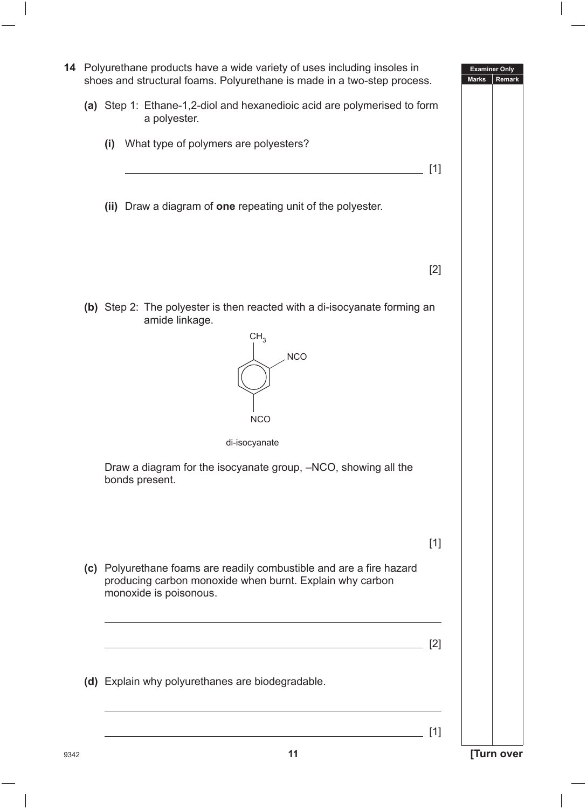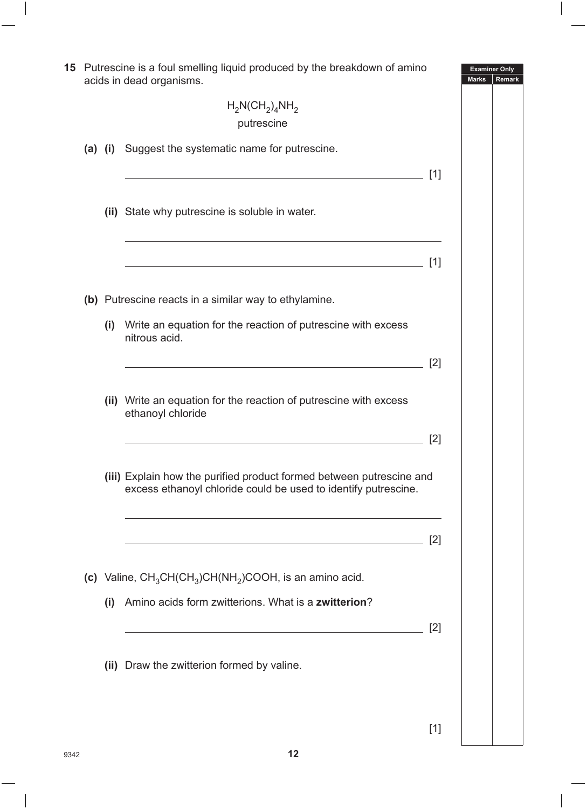|  |             | 15 Putrescine is a foul smelling liquid produced by the breakdown of amino<br>acids in dead organisms.                                 |       | <b>Examiner Only</b><br><b>Marks</b> | Remark |
|--|-------------|----------------------------------------------------------------------------------------------------------------------------------------|-------|--------------------------------------|--------|
|  |             | $H_2N(CH_2)_4NH_2$<br>putrescine                                                                                                       |       |                                      |        |
|  | $(a)$ $(i)$ | Suggest the systematic name for putrescine.                                                                                            |       |                                      |        |
|  |             |                                                                                                                                        | [1]   |                                      |        |
|  |             | (ii) State why putrescine is soluble in water.                                                                                         |       |                                      |        |
|  |             |                                                                                                                                        | [1]   |                                      |        |
|  |             | (b) Putrescine reacts in a similar way to ethylamine.                                                                                  |       |                                      |        |
|  |             | (i) Write an equation for the reaction of putrescine with excess<br>nitrous acid.                                                      |       |                                      |        |
|  |             |                                                                                                                                        | [2]   |                                      |        |
|  |             | (ii) Write an equation for the reaction of putrescine with excess<br>ethanoyl chloride                                                 |       |                                      |        |
|  |             |                                                                                                                                        | [2]   |                                      |        |
|  |             | (iii) Explain how the purified product formed between putrescine and<br>excess ethanoyl chloride could be used to identify putrescine. |       |                                      |        |
|  |             |                                                                                                                                        | $[2]$ |                                      |        |
|  |             | (c) Valine, $CH_3CH(CH_3)CH(NH_2)COOH$ , is an amino acid.                                                                             |       |                                      |        |
|  | (i)         | Amino acids form zwitterions. What is a zwitterion?                                                                                    |       |                                      |        |
|  |             |                                                                                                                                        | [2]   |                                      |        |
|  |             | (ii) Draw the zwitterion formed by valine.                                                                                             |       |                                      |        |
|  |             |                                                                                                                                        |       |                                      |        |
|  |             |                                                                                                                                        | $[1]$ |                                      |        |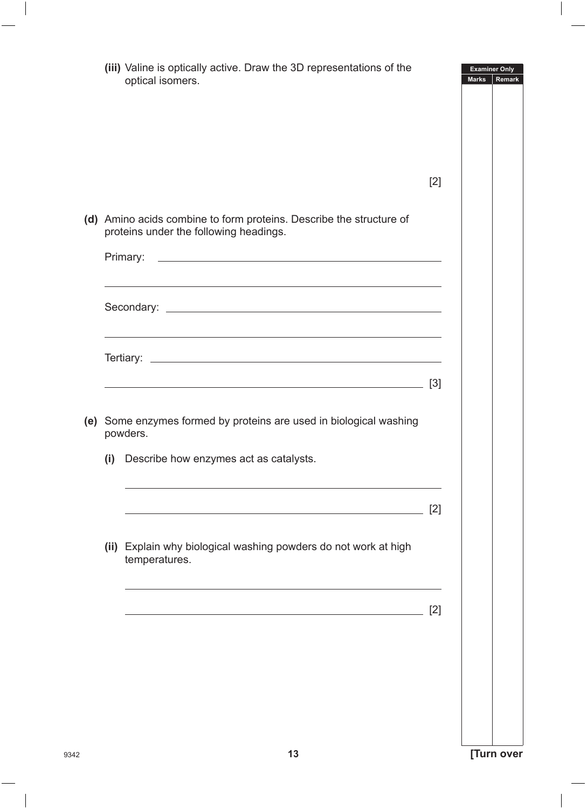|     | (iii) Valine is optically active. Draw the 3D representations of the<br>optical isomers.                                                                                                                                      | <b>Examiner Only</b><br><b>Marks</b><br>Remark |
|-----|-------------------------------------------------------------------------------------------------------------------------------------------------------------------------------------------------------------------------------|------------------------------------------------|
|     |                                                                                                                                                                                                                               |                                                |
|     |                                                                                                                                                                                                                               |                                                |
|     |                                                                                                                                                                                                                               | [2]                                            |
|     | (d) Amino acids combine to form proteins. Describe the structure of<br>proteins under the following headings.                                                                                                                 |                                                |
|     |                                                                                                                                                                                                                               |                                                |
|     | the control of the control of the control of the control of the control of the control of the control of the control of the control of the control of the control of the control of the control of the control of the control |                                                |
|     | the control of the control of the control of the control of the control of the control of the control of the control of the control of the control of the control of the control of the control of the control of the control |                                                |
|     | <u> 1989 - Johann Barn, fransk politik (d. 1989)</u>                                                                                                                                                                          | $[3]$                                          |
|     | (e) Some enzymes formed by proteins are used in biological washing<br>powders.                                                                                                                                                |                                                |
|     |                                                                                                                                                                                                                               |                                                |
| (i) | Describe how enzymes act as catalysts.                                                                                                                                                                                        |                                                |
|     |                                                                                                                                                                                                                               | [2]                                            |
|     | (ii) Explain why biological washing powders do not work at high<br>temperatures.                                                                                                                                              |                                                |
|     |                                                                                                                                                                                                                               | [2]                                            |
|     |                                                                                                                                                                                                                               |                                                |
|     |                                                                                                                                                                                                                               |                                                |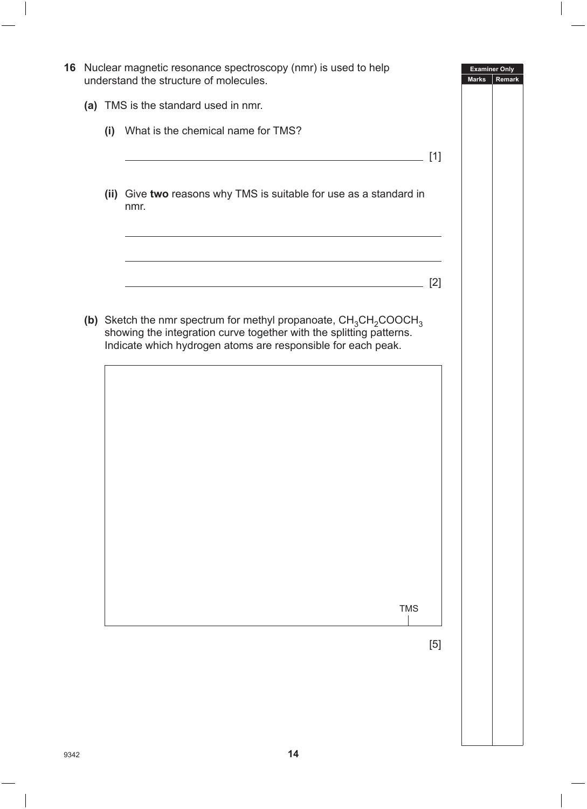|  | 16 Nuclear magnetic resonance spectroscopy (nmr) is used to help<br>understand the structure of molecules.                                                                                                  |       | <b>Examiner Only</b><br><b>Marks</b> | Remark |
|--|-------------------------------------------------------------------------------------------------------------------------------------------------------------------------------------------------------------|-------|--------------------------------------|--------|
|  | (a) TMS is the standard used in nmr.                                                                                                                                                                        |       |                                      |        |
|  | (i) What is the chemical name for TMS?                                                                                                                                                                      |       |                                      |        |
|  | (ii) Give two reasons why TMS is suitable for use as a standard in                                                                                                                                          | $[1]$ |                                      |        |
|  | nmr.                                                                                                                                                                                                        |       |                                      |        |
|  |                                                                                                                                                                                                             | [2]   |                                      |        |
|  | (b) Sketch the nmr spectrum for methyl propanoate, $CH_3CH_2COOCH_3$<br>showing the integration curve together with the splitting patterns.<br>Indicate which hydrogen atoms are responsible for each peak. |       |                                      |        |
|  |                                                                                                                                                                                                             |       |                                      |        |
|  |                                                                                                                                                                                                             |       |                                      |        |
|  |                                                                                                                                                                                                             |       |                                      |        |
|  |                                                                                                                                                                                                             |       |                                      |        |
|  |                                                                                                                                                                                                             |       |                                      |        |
|  | <b>TMS</b>                                                                                                                                                                                                  |       |                                      |        |
|  |                                                                                                                                                                                                             | $[5]$ |                                      |        |
|  |                                                                                                                                                                                                             |       |                                      |        |
|  |                                                                                                                                                                                                             |       |                                      |        |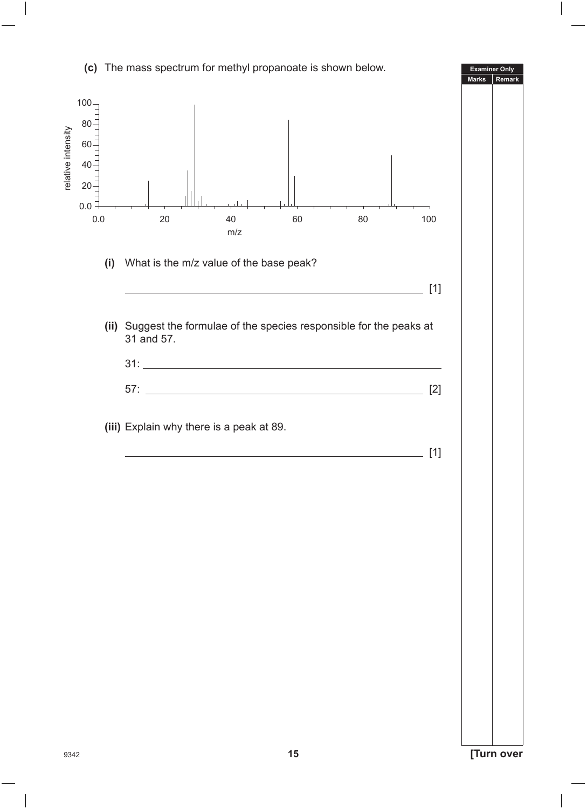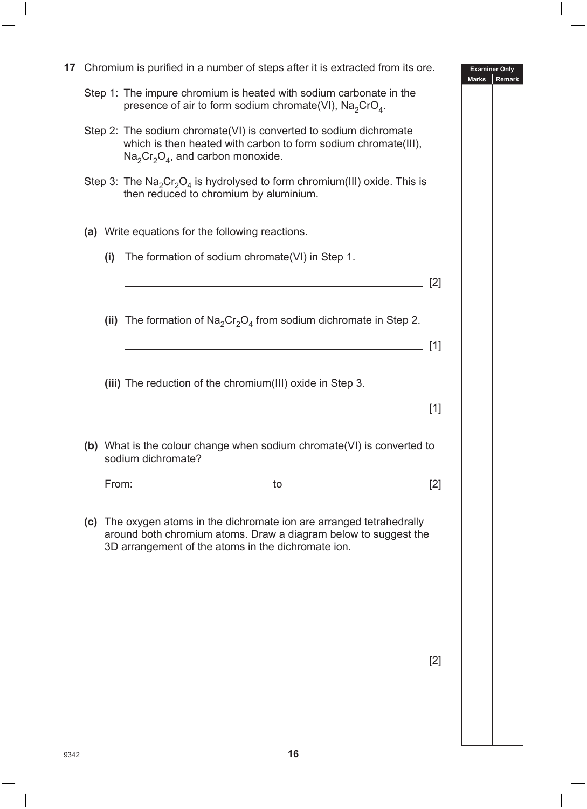| 17 |     | Chromium is purified in a number of steps after it is extracted from its ore.                                                                                                                                                 |       | <b>Examiner Only</b><br><b>Marks</b> | Remark |
|----|-----|-------------------------------------------------------------------------------------------------------------------------------------------------------------------------------------------------------------------------------|-------|--------------------------------------|--------|
|    |     | Step 1: The impure chromium is heated with sodium carbonate in the<br>presence of air to form sodium chromate(VI), $Na2CrO4$ .                                                                                                |       |                                      |        |
|    |     | Step 2: The sodium chromate(VI) is converted to sodium dichromate<br>which is then heated with carbon to form sodium chromate(III),<br>$\text{Na}_2\text{Cr}_2\text{O}_4$ , and carbon monoxide.                              |       |                                      |        |
|    |     | Step 3: The $\text{Na}_2\text{Cr}_2\text{O}_4$ is hydrolysed to form chromium(III) oxide. This is<br>then reduced to chromium by aluminium.                                                                                   |       |                                      |        |
|    |     | (a) Write equations for the following reactions.                                                                                                                                                                              |       |                                      |        |
|    | (i) | The formation of sodium chromate (VI) in Step 1.                                                                                                                                                                              |       |                                      |        |
|    |     |                                                                                                                                                                                                                               | [2]   |                                      |        |
|    |     | (ii) The formation of $\text{Na}_2\text{Cr}_2\text{O}_4$ from sodium dichromate in Step 2.                                                                                                                                    |       |                                      |        |
|    |     |                                                                                                                                                                                                                               | [1]   |                                      |        |
|    |     | (iii) The reduction of the chromium(III) oxide in Step 3.                                                                                                                                                                     |       |                                      |        |
|    |     |                                                                                                                                                                                                                               | [1]   |                                      |        |
|    |     | (b) What is the colour change when sodium chromate(VI) is converted to<br>sodium dichromate?                                                                                                                                  |       |                                      |        |
|    |     | From: to the top of the top of the top of the top of the top of the top of the top of the top of the top of the top of the top of the top of the top of the top of the top of the top of the top of the top of the top of the | [2]   |                                      |        |
|    |     | (c) The oxygen atoms in the dichromate ion are arranged tetrahedrally<br>around both chromium atoms. Draw a diagram below to suggest the<br>3D arrangement of the atoms in the dichromate ion.                                |       |                                      |        |
|    |     |                                                                                                                                                                                                                               |       |                                      |        |
|    |     |                                                                                                                                                                                                                               |       |                                      |        |
|    |     |                                                                                                                                                                                                                               | $[2]$ |                                      |        |
|    |     |                                                                                                                                                                                                                               |       |                                      |        |
|    |     |                                                                                                                                                                                                                               |       |                                      |        |
|    |     |                                                                                                                                                                                                                               |       |                                      |        |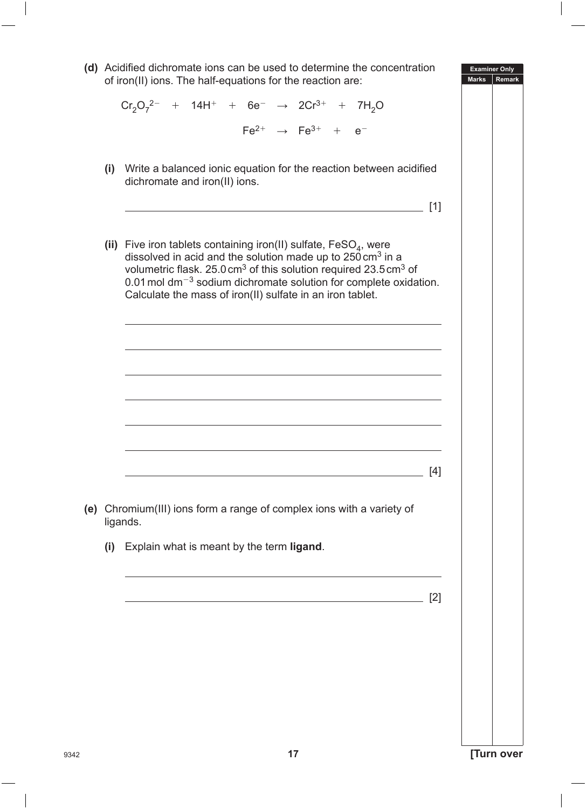**Examiner Only Marks Rem (d)** Acidified dichromate ions can be used to determine the concentration of iron(II) ions. The half-equations for the reaction are:  $Cr_2O_7^{2-}$  + 14H<sup>+</sup> + 6e<sup>-</sup> → 2Cr<sup>3+</sup> + 7H<sub>2</sub>O  $Fe^{2+} \rightarrow Fe^{3+} + e^{-}$  **(i)** Write a balanced ionic equation for the reaction between acidified dichromate and iron(II) ions. [1] (ii) Five iron tablets containing iron(II) sulfate,  $FesO<sub>A</sub>$ , were dissolved in acid and the solution made up to  $250 \text{ cm}^3$  in a volumetric flask. 25.0cm3 of this solution required 23.5cm3 of  $0.01$  mol dm<sup>-3</sup> sodium dichromate solution for complete oxidation. Calculate the mass of iron(II) sulfate in an iron tablet. [4] **(e)** Chromium(III) ions form a range of complex ions with a variety of ligands. **(i)** Explain what is meant by the term **ligand**. [2]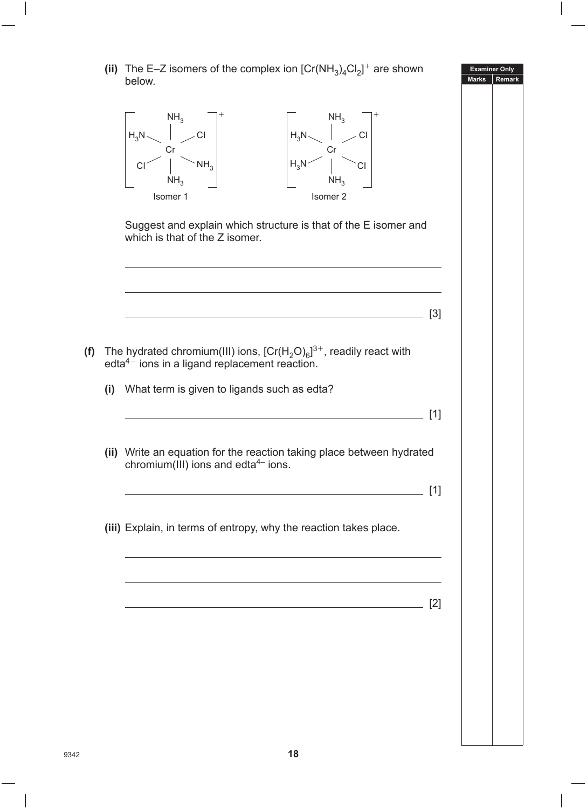(ii) The E-Z isomers of the complex ion  $[Cr(NH_3)_4Cl_2]^+$  are shown below.



 Suggest and explain which structure is that of the E isomer and which is that of the Z isomer.

<u>. [3]</u>

- **(f)** The hydrated chromium(III) ions,  $[Cr(H<sub>2</sub>O)<sub>6</sub>]^{3+}$ , readily react with  $edta<sup>4–</sup>$  ions in a ligand replacement reaction.
	- **(i)** What term is given to ligands such as edta?
	- **(ii)** Write an equation for the reaction taking place between hydrated chromium( $\overline{III}$ ) ions and edta<sup>4–</sup> ions.
		- [1]

[1]

[2]

**Examiner Only Marks Remark**

**(iii)** Explain, in terms of entropy, why the reaction takes place.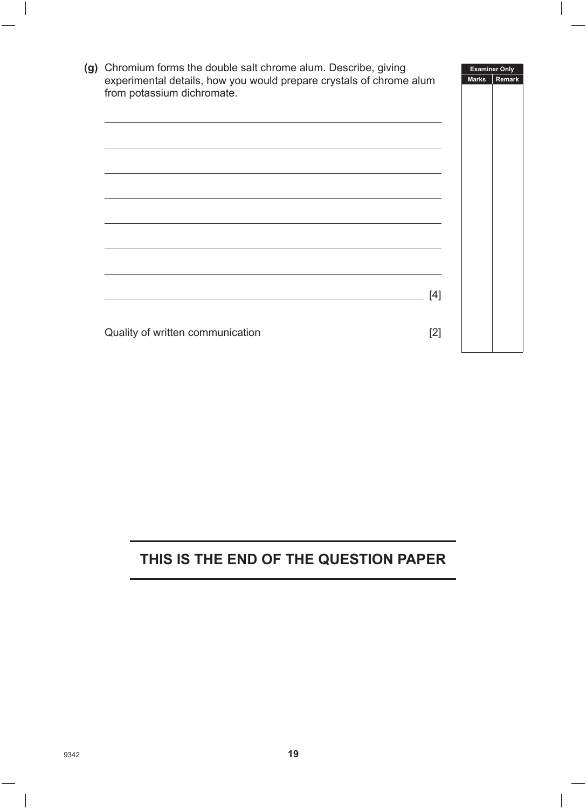| (g) Chromium forms the double salt chrome alum. Describe, giving                                  |       |              | <b>Examiner Only</b> |
|---------------------------------------------------------------------------------------------------|-------|--------------|----------------------|
| experimental details, how you would prepare crystals of chrome alum<br>from potassium dichromate. |       | <b>Marks</b> | Remark               |
|                                                                                                   |       |              |                      |
|                                                                                                   |       |              |                      |
|                                                                                                   | [4]   |              |                      |
| Quality of written communication                                                                  | $[2]$ |              |                      |

## **THIS IS THE END OF THE QUESTION PAPER**